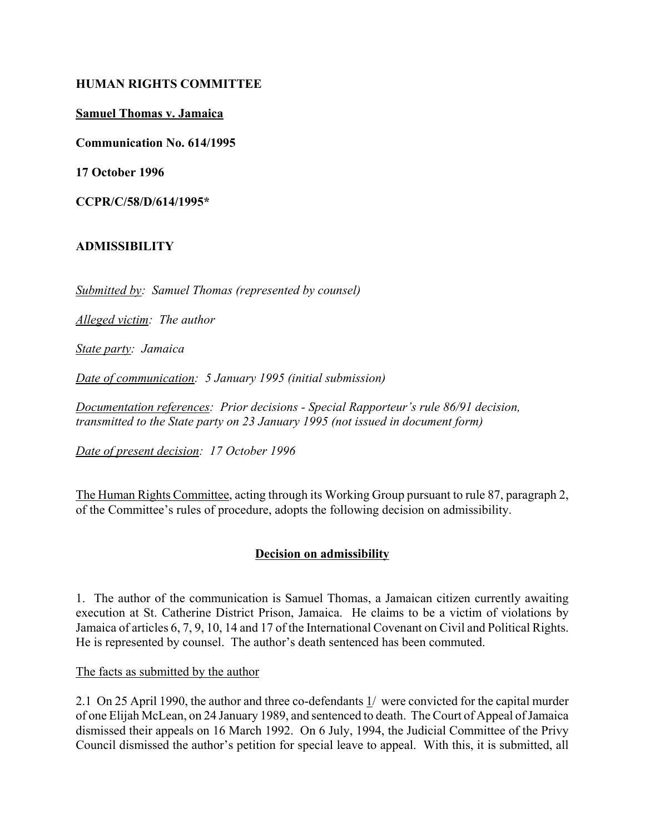### **HUMAN RIGHTS COMMITTEE**

### **Samuel Thomas v. Jamaica**

**Communication No. 614/1995**

**17 October 1996**

**CCPR/C/58/D/614/1995\***

# **ADMISSIBILITY**

*Submitted by: Samuel Thomas (represented by counsel)*

*Alleged victim: The author*

*State party: Jamaica*

*Date of communication: 5 January 1995 (initial submission)*

*Documentation references: Prior decisions - Special Rapporteur's rule 86/91 decision, transmitted to the State party on 23 January 1995 (not issued in document form)*

*Date of present decision: 17 October 1996*

The Human Rights Committee, acting through its Working Group pursuant to rule 87, paragraph 2, of the Committee's rules of procedure, adopts the following decision on admissibility.

# **Decision on admissibility**

1. The author of the communication is Samuel Thomas, a Jamaican citizen currently awaiting execution at St. Catherine District Prison, Jamaica. He claims to be a victim of violations by Jamaica of articles 6, 7, 9, 10, 14 and 17 of the International Covenant on Civil and Political Rights. He is represented by counsel. The author's death sentenced has been commuted.

The facts as submitted by the author

2.1 On 25 April 1990, the author and three co-defendants 1/ were convicted for the capital murder of one Elijah McLean, on 24 January 1989, and sentenced to death. The Court of Appeal of Jamaica dismissed their appeals on 16 March 1992. On 6 July, 1994, the Judicial Committee of the Privy Council dismissed the author's petition for special leave to appeal. With this, it is submitted, all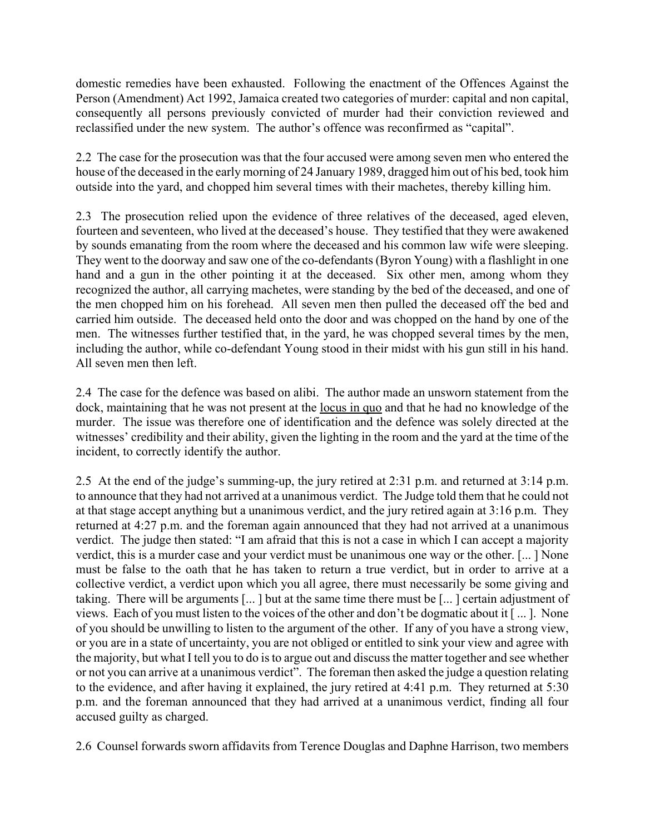domestic remedies have been exhausted. Following the enactment of the Offences Against the Person (Amendment) Act 1992, Jamaica created two categories of murder: capital and non capital, consequently all persons previously convicted of murder had their conviction reviewed and reclassified under the new system. The author's offence was reconfirmed as "capital".

2.2 The case for the prosecution was that the four accused were among seven men who entered the house of the deceased in the early morning of 24 January 1989, dragged him out of his bed, took him outside into the yard, and chopped him several times with their machetes, thereby killing him.

2.3 The prosecution relied upon the evidence of three relatives of the deceased, aged eleven, fourteen and seventeen, who lived at the deceased's house. They testified that they were awakened by sounds emanating from the room where the deceased and his common law wife were sleeping. They went to the doorway and saw one of the co-defendants (Byron Young) with a flashlight in one hand and a gun in the other pointing it at the deceased. Six other men, among whom they recognized the author, all carrying machetes, were standing by the bed of the deceased, and one of the men chopped him on his forehead. All seven men then pulled the deceased off the bed and carried him outside. The deceased held onto the door and was chopped on the hand by one of the men. The witnesses further testified that, in the yard, he was chopped several times by the men, including the author, while co-defendant Young stood in their midst with his gun still in his hand. All seven men then left.

2.4 The case for the defence was based on alibi. The author made an unsworn statement from the dock, maintaining that he was not present at the locus in quo and that he had no knowledge of the murder. The issue was therefore one of identification and the defence was solely directed at the witnesses' credibility and their ability, given the lighting in the room and the yard at the time of the incident, to correctly identify the author.

2.5 At the end of the judge's summing-up, the jury retired at 2:31 p.m. and returned at 3:14 p.m. to announce that they had not arrived at a unanimous verdict. The Judge told them that he could not at that stage accept anything but a unanimous verdict, and the jury retired again at 3:16 p.m. They returned at 4:27 p.m. and the foreman again announced that they had not arrived at a unanimous verdict. The judge then stated: "I am afraid that this is not a case in which I can accept a majority verdict, this is a murder case and your verdict must be unanimous one way or the other. [... ] None must be false to the oath that he has taken to return a true verdict, but in order to arrive at a collective verdict, a verdict upon which you all agree, there must necessarily be some giving and taking. There will be arguments [... ] but at the same time there must be [... ] certain adjustment of views. Each of you must listen to the voices of the other and don't be dogmatic about it [...]. None of you should be unwilling to listen to the argument of the other. If any of you have a strong view, or you are in a state of uncertainty, you are not obliged or entitled to sink your view and agree with the majority, but what I tell you to do is to argue out and discuss the matter together and see whether or not you can arrive at a unanimous verdict". The foreman then asked the judge a question relating to the evidence, and after having it explained, the jury retired at 4:41 p.m. They returned at 5:30 p.m. and the foreman announced that they had arrived at a unanimous verdict, finding all four accused guilty as charged.

2.6 Counsel forwards sworn affidavits from Terence Douglas and Daphne Harrison, two members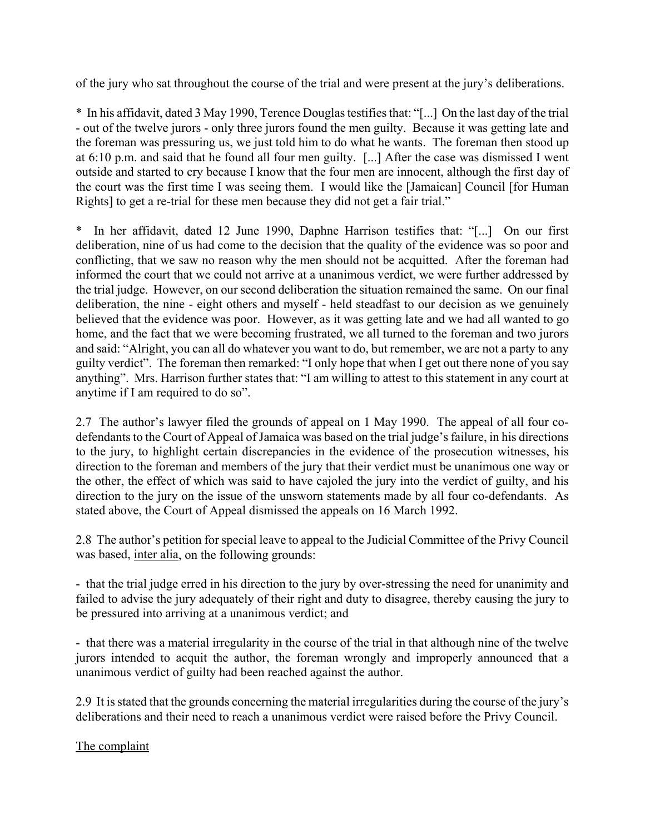of the jury who sat throughout the course of the trial and were present at the jury's deliberations.

\* In his affidavit, dated 3 May 1990, Terence Douglas testifies that: "[...] On the last day of the trial - out of the twelve jurors - only three jurors found the men guilty. Because it was getting late and the foreman was pressuring us, we just told him to do what he wants. The foreman then stood up at 6:10 p.m. and said that he found all four men guilty. [...] After the case was dismissed I went outside and started to cry because I know that the four men are innocent, although the first day of the court was the first time I was seeing them. I would like the [Jamaican] Council [for Human Rights] to get a re-trial for these men because they did not get a fair trial."

\* In her affidavit, dated 12 June 1990, Daphne Harrison testifies that: "[...] On our first deliberation, nine of us had come to the decision that the quality of the evidence was so poor and conflicting, that we saw no reason why the men should not be acquitted. After the foreman had informed the court that we could not arrive at a unanimous verdict, we were further addressed by the trial judge. However, on our second deliberation the situation remained the same. On our final deliberation, the nine - eight others and myself - held steadfast to our decision as we genuinely believed that the evidence was poor. However, as it was getting late and we had all wanted to go home, and the fact that we were becoming frustrated, we all turned to the foreman and two jurors and said: "Alright, you can all do whatever you want to do, but remember, we are not a party to any guilty verdict". The foreman then remarked: "I only hope that when I get out there none of you say anything". Mrs. Harrison further states that: "I am willing to attest to this statement in any court at anytime if I am required to do so".

2.7 The author's lawyer filed the grounds of appeal on 1 May 1990. The appeal of all four codefendants to the Court of Appeal of Jamaica was based on the trial judge's failure, in his directions to the jury, to highlight certain discrepancies in the evidence of the prosecution witnesses, his direction to the foreman and members of the jury that their verdict must be unanimous one way or the other, the effect of which was said to have cajoled the jury into the verdict of guilty, and his direction to the jury on the issue of the unsworn statements made by all four co-defendants. As stated above, the Court of Appeal dismissed the appeals on 16 March 1992.

2.8 The author's petition for special leave to appeal to the Judicial Committee of the Privy Council was based, inter alia, on the following grounds:

- that the trial judge erred in his direction to the jury by over-stressing the need for unanimity and failed to advise the jury adequately of their right and duty to disagree, thereby causing the jury to be pressured into arriving at a unanimous verdict; and

- that there was a material irregularity in the course of the trial in that although nine of the twelve jurors intended to acquit the author, the foreman wrongly and improperly announced that a unanimous verdict of guilty had been reached against the author.

2.9 It is stated that the grounds concerning the material irregularities during the course of the jury's deliberations and their need to reach a unanimous verdict were raised before the Privy Council.

The complaint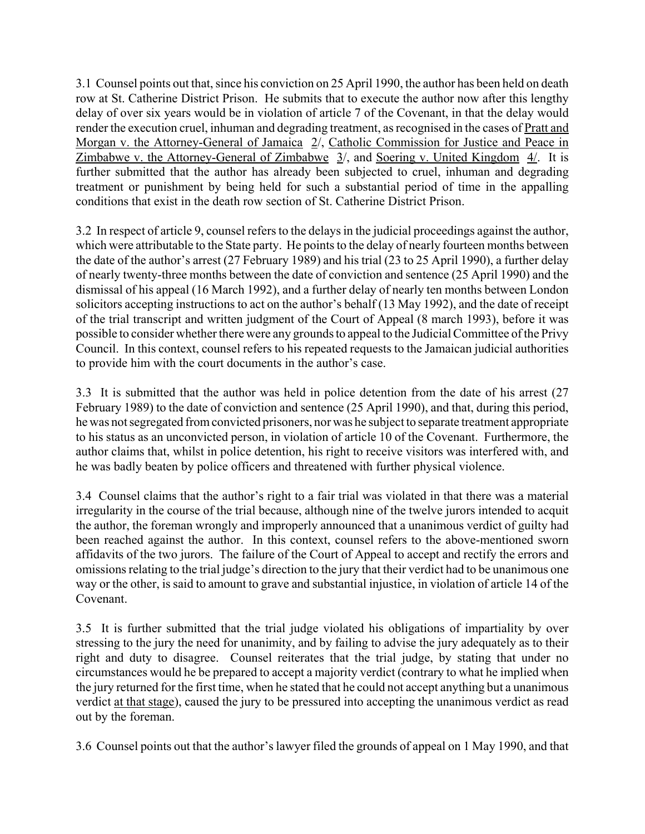3.1 Counsel points out that, since his conviction on 25 April 1990, the author has been held on death row at St. Catherine District Prison. He submits that to execute the author now after this lengthy delay of over six years would be in violation of article 7 of the Covenant, in that the delay would render the execution cruel, inhuman and degrading treatment, as recognised in the cases of Pratt and Morgan v. the Attorney-General of Jamaica 2/, Catholic Commission for Justice and Peace in Zimbabwe v. the Attorney-General of Zimbabwe 3/, and Soering v. United Kingdom 4/. It is further submitted that the author has already been subjected to cruel, inhuman and degrading treatment or punishment by being held for such a substantial period of time in the appalling conditions that exist in the death row section of St. Catherine District Prison.

3.2 In respect of article 9, counsel refers to the delays in the judicial proceedings against the author, which were attributable to the State party. He points to the delay of nearly fourteen months between the date of the author's arrest (27 February 1989) and his trial (23 to 25 April 1990), a further delay of nearly twenty-three months between the date of conviction and sentence (25 April 1990) and the dismissal of his appeal (16 March 1992), and a further delay of nearly ten months between London solicitors accepting instructions to act on the author's behalf (13 May 1992), and the date of receipt of the trial transcript and written judgment of the Court of Appeal (8 march 1993), before it was possible to consider whether there were any grounds to appeal to the Judicial Committee of the Privy Council. In this context, counsel refers to his repeated requests to the Jamaican judicial authorities to provide him with the court documents in the author's case.

3.3 It is submitted that the author was held in police detention from the date of his arrest (27 February 1989) to the date of conviction and sentence (25 April 1990), and that, during this period, he was not segregated from convicted prisoners, nor was he subject to separate treatment appropriate to his status as an unconvicted person, in violation of article 10 of the Covenant. Furthermore, the author claims that, whilst in police detention, his right to receive visitors was interfered with, and he was badly beaten by police officers and threatened with further physical violence.

3.4 Counsel claims that the author's right to a fair trial was violated in that there was a material irregularity in the course of the trial because, although nine of the twelve jurors intended to acquit the author, the foreman wrongly and improperly announced that a unanimous verdict of guilty had been reached against the author. In this context, counsel refers to the above-mentioned sworn affidavits of the two jurors. The failure of the Court of Appeal to accept and rectify the errors and omissions relating to the trial judge's direction to the jury that their verdict had to be unanimous one way or the other, is said to amount to grave and substantial injustice, in violation of article 14 of the Covenant.

3.5 It is further submitted that the trial judge violated his obligations of impartiality by over stressing to the jury the need for unanimity, and by failing to advise the jury adequately as to their right and duty to disagree. Counsel reiterates that the trial judge, by stating that under no circumstances would he be prepared to accept a majority verdict (contrary to what he implied when the jury returned for the first time, when he stated that he could not accept anything but a unanimous verdict at that stage), caused the jury to be pressured into accepting the unanimous verdict as read out by the foreman.

3.6 Counsel points out that the author's lawyer filed the grounds of appeal on 1 May 1990, and that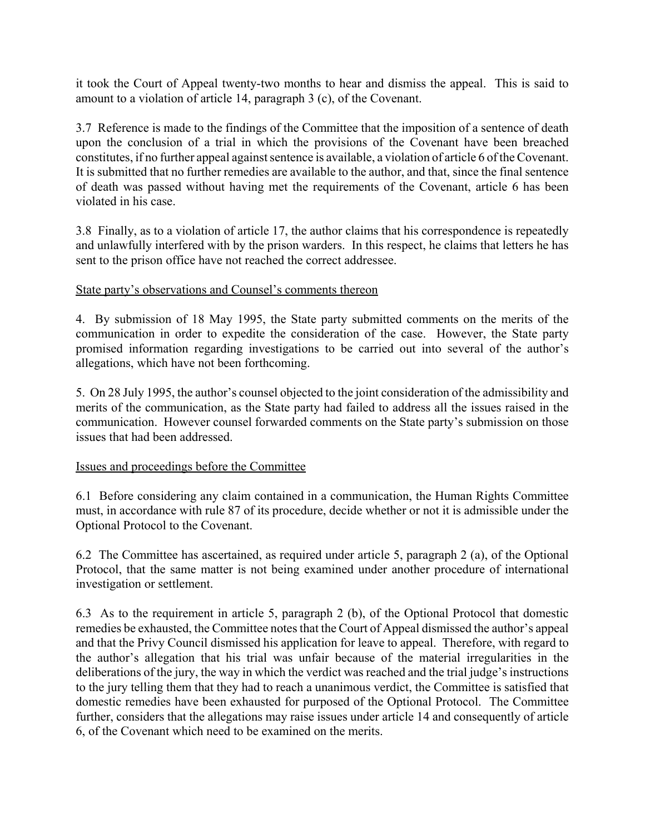it took the Court of Appeal twenty-two months to hear and dismiss the appeal. This is said to amount to a violation of article 14, paragraph 3 (c), of the Covenant.

3.7 Reference is made to the findings of the Committee that the imposition of a sentence of death upon the conclusion of a trial in which the provisions of the Covenant have been breached constitutes, if no further appeal against sentence is available, a violation of article 6 of the Covenant. It is submitted that no further remedies are available to the author, and that, since the final sentence of death was passed without having met the requirements of the Covenant, article 6 has been violated in his case.

3.8 Finally, as to a violation of article 17, the author claims that his correspondence is repeatedly and unlawfully interfered with by the prison warders. In this respect, he claims that letters he has sent to the prison office have not reached the correct addressee.

# State party's observations and Counsel's comments thereon

4. By submission of 18 May 1995, the State party submitted comments on the merits of the communication in order to expedite the consideration of the case. However, the State party promised information regarding investigations to be carried out into several of the author's allegations, which have not been forthcoming.

5. On 28 July 1995, the author's counsel objected to the joint consideration of the admissibility and merits of the communication, as the State party had failed to address all the issues raised in the communication. However counsel forwarded comments on the State party's submission on those issues that had been addressed.

# Issues and proceedings before the Committee

6.1 Before considering any claim contained in a communication, the Human Rights Committee must, in accordance with rule 87 of its procedure, decide whether or not it is admissible under the Optional Protocol to the Covenant.

6.2 The Committee has ascertained, as required under article 5, paragraph 2 (a), of the Optional Protocol, that the same matter is not being examined under another procedure of international investigation or settlement.

6.3 As to the requirement in article 5, paragraph 2 (b), of the Optional Protocol that domestic remedies be exhausted, the Committee notes that the Court of Appeal dismissed the author's appeal and that the Privy Council dismissed his application for leave to appeal. Therefore, with regard to the author's allegation that his trial was unfair because of the material irregularities in the deliberations of the jury, the way in which the verdict was reached and the trial judge's instructions to the jury telling them that they had to reach a unanimous verdict, the Committee is satisfied that domestic remedies have been exhausted for purposed of the Optional Protocol. The Committee further, considers that the allegations may raise issues under article 14 and consequently of article 6, of the Covenant which need to be examined on the merits.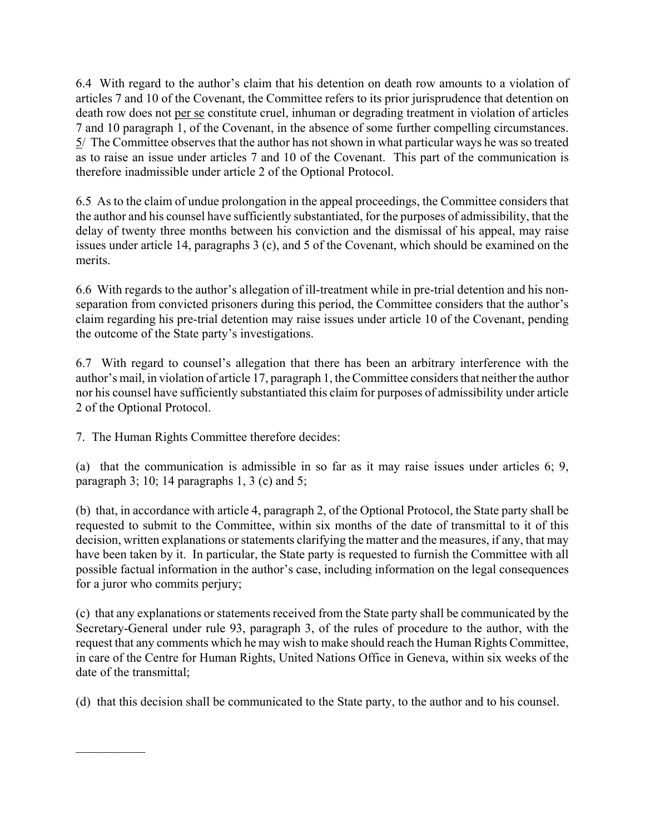6.4 With regard to the author's claim that his detention on death row amounts to a violation of articles 7 and 10 of the Covenant, the Committee refers to its prior jurisprudence that detention on death row does not per se constitute cruel, inhuman or degrading treatment in violation of articles 7 and 10 paragraph 1, of the Covenant, in the absence of some further compelling circumstances. 5/ The Committee observes that the author has not shown in what particular ways he was so treated as to raise an issue under articles 7 and 10 of the Covenant. This part of the communication is therefore inadmissible under article 2 of the Optional Protocol.

6.5 As to the claim of undue prolongation in the appeal proceedings, the Committee considers that the author and his counsel have sufficiently substantiated, for the purposes of admissibility, that the delay of twenty three months between his conviction and the dismissal of his appeal, may raise issues under article 14, paragraphs 3 (c), and 5 of the Covenant, which should be examined on the merits.

6.6 With regards to the author's allegation of ill-treatment while in pre-trial detention and his nonseparation from convicted prisoners during this period, the Committee considers that the author's claim regarding his pre-trial detention may raise issues under article 10 of the Covenant, pending the outcome of the State party's investigations.

6.7 With regard to counsel's allegation that there has been an arbitrary interference with the author's mail, in violation of article 17, paragraph 1, the Committee considers that neither the author nor his counsel have sufficiently substantiated this claim for purposes of admissibility under article 2 of the Optional Protocol.

7. The Human Rights Committee therefore decides:

 $\mathcal{L}_\text{max}$ 

(a) that the communication is admissible in so far as it may raise issues under articles 6; 9, paragraph 3; 10; 14 paragraphs 1, 3 (c) and 5;

(b) that, in accordance with article 4, paragraph 2, of the Optional Protocol, the State party shall be requested to submit to the Committee, within six months of the date of transmittal to it of this decision, written explanations or statements clarifying the matter and the measures, if any, that may have been taken by it. In particular, the State party is requested to furnish the Committee with all possible factual information in the author's case, including information on the legal consequences for a juror who commits perjury;

(c) that any explanations or statements received from the State party shall be communicated by the Secretary-General under rule 93, paragraph 3, of the rules of procedure to the author, with the request that any comments which he may wish to make should reach the Human Rights Committee, in care of the Centre for Human Rights, United Nations Office in Geneva, within six weeks of the date of the transmittal;

(d) that this decision shall be communicated to the State party, to the author and to his counsel.